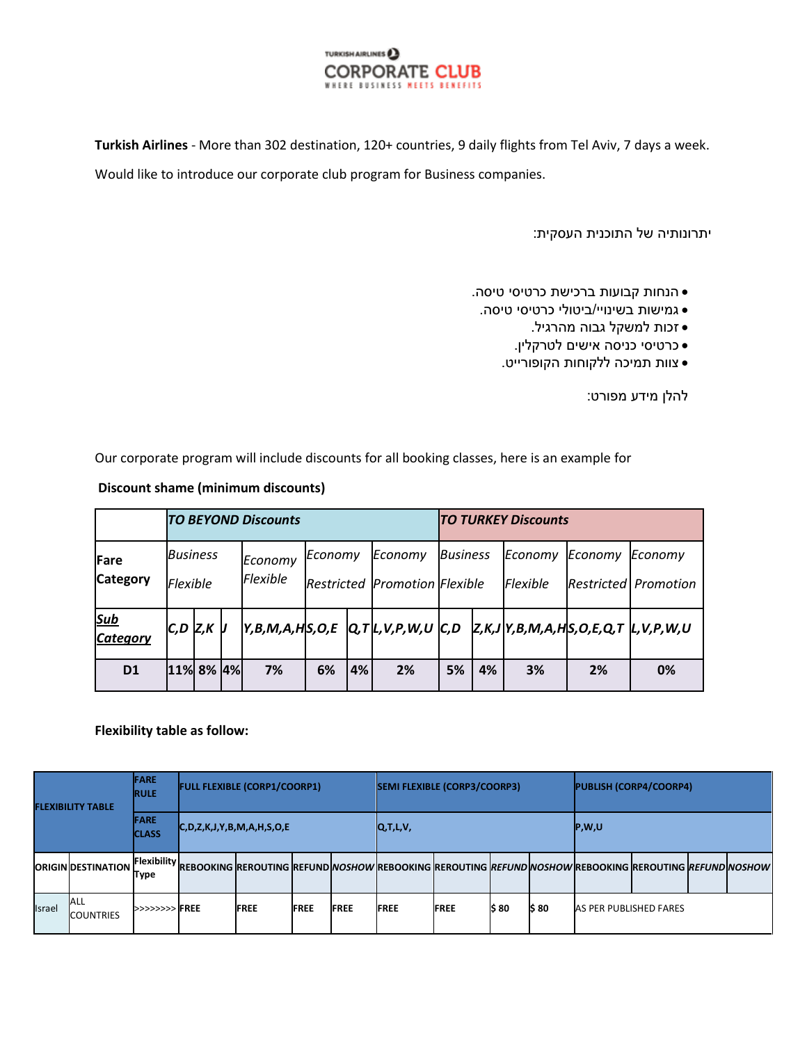

**Turkish Airlines** - More than 302 destination, 120+ countries, 9 daily flights from Tel Aviv, 7 days a week. Would like to introduce our corporate club program for Business companies.

יתרונותיה של התוכנית העסקית:

- הנחות קבועות ברכישת כרטיסי טיסה.
- גמישות בשינויי/ביטולי כרטיסי טיסה.
	- זכות למשקל גבוה מהרגיל.
	- כרטיסי כניסה אישים לטרקלין.
	- צוות תמיכה ללקוחות הקופורייט.

להלן מידע מפורט:

Our corporate program will include discounts for all booking classes, here is an example for

**Discount shame (minimum discounts)**

|                               | <b>TO BEYOND Discounts</b>         |  |                            |                                                 |    |         |                                    |    | <b>ITO TURKEY Discounts</b> |         |                                        |                                     |  |  |  |  |
|-------------------------------|------------------------------------|--|----------------------------|-------------------------------------------------|----|---------|------------------------------------|----|-----------------------------|---------|----------------------------------------|-------------------------------------|--|--|--|--|
| Fare<br><b>Category</b>       | <b>Business</b><br><b>Flexible</b> |  | Economy<br><b>Flexible</b> | Economy<br><b>Restricted Promotion Flexible</b> |    | Economy | <b>Business</b>                    |    | Economy<br>Flexible         | Economy | Economy<br><b>Restricted Promotion</b> |                                     |  |  |  |  |
| <u>Sub</u><br><b>Category</b> | $C, D$ $Z, K$ $U$                  |  |                            |                                                 |    |         | Y,B,M,A,H S,O,E  Q,T L,V,P,W,U C,D |    |                             |         |                                        | Z,K,J Y,B,M,A,H S,O,E,Q,T L,V,P,W,U |  |  |  |  |
| D <sub>1</sub>                | 11% 8% 4%                          |  |                            | 7%                                              | 6% | 4%      | 2%                                 | 5% | 4%                          | 3%      | 2%                                     | 0%                                  |  |  |  |  |

## **Flexibility table as follow:**

| <b>FLEXIBILITY TABLE</b> |                                | <b>FARE</b><br><b>RULE</b>  | <b>FULL FLEXIBLE (CORP1/COORP1)</b>      |             |             |             | <b>SEMI FLEXIBLE (CORP3/COORP3)</b> |             |        |        | <b>PUBLISH (CORP4/COORP4)</b>                                                                                                                                |  |  |  |  |
|--------------------------|--------------------------------|-----------------------------|------------------------------------------|-------------|-------------|-------------|-------------------------------------|-------------|--------|--------|--------------------------------------------------------------------------------------------------------------------------------------------------------------|--|--|--|--|
|                          |                                | <b>FARE</b><br><b>CLASS</b> | $ C, D, Z, K, J, Y, B, M, A, H, S, O, E$ |             |             |             | Q, T, L, V,                         |             |        |        | P,W,U                                                                                                                                                        |  |  |  |  |
|                          | <b>ORIGIN DESTINATION</b>      | Type                        |                                          |             |             |             |                                     |             |        |        | J F <sup>lexibility</sup> REBOOKING REROUTING REFUND <i>NOSHOW</i> REBOOKING REROUTING <i>REFUND NOSHOW</i> REBOOKING REROUTING <i>REFUND</i> M <i>OSHOW</i> |  |  |  |  |
| <b>Israel</b>            | <b>ALL</b><br><b>COUNTRIES</b> | >>>>>>>>>FREE               |                                          | <b>FREE</b> | <b>FREE</b> | <b>FREE</b> | <b>FREE</b>                         | <b>FREE</b> | I\$ 80 | I\$ 80 | <b>AS PER PUBLISHED FARES</b>                                                                                                                                |  |  |  |  |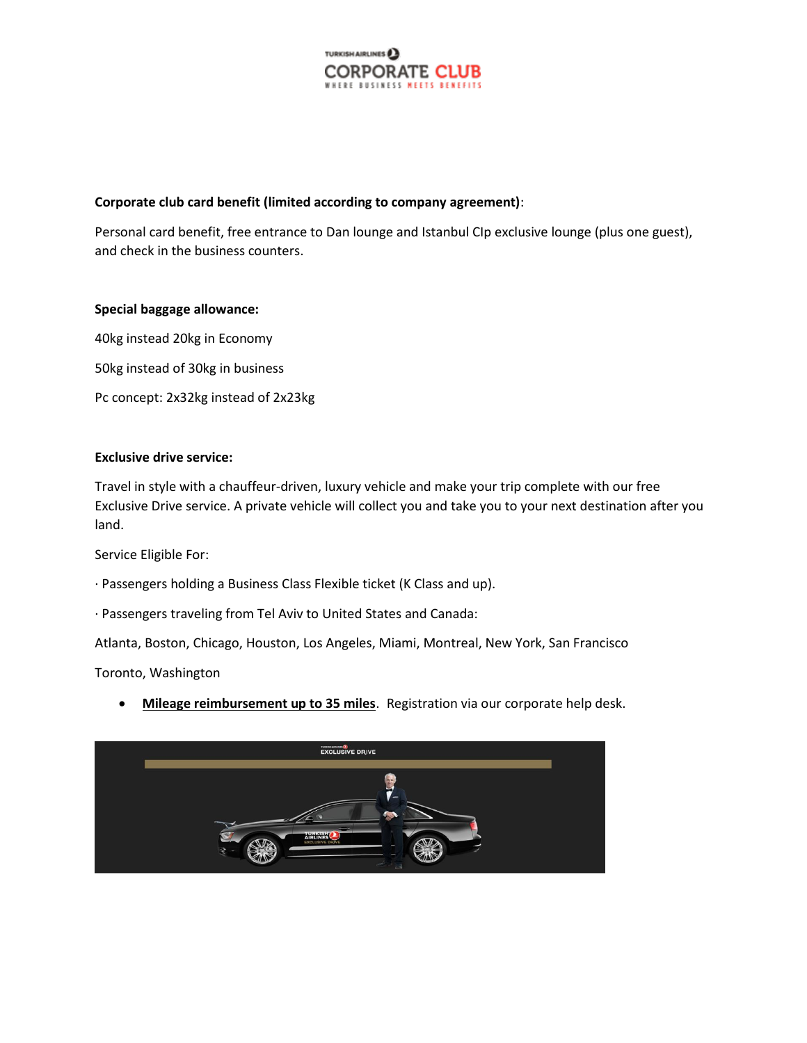

## **Corporate club card benefit (limited according to company agreement)**:

Personal card benefit, free entrance to Dan lounge and Istanbul CIp exclusive lounge (plus one guest), and check in the business counters.

#### **Special baggage allowance:**

40kg instead 20kg in Economy 50kg instead of 30kg in business Pc concept: 2x32kg instead of 2x23kg

# **Exclusive drive service:**

Travel in style with a chauffeur-driven, luxury vehicle and make your trip complete with our free Exclusive Drive service. A private vehicle will collect you and take you to your next destination after you land.

Service Eligible For:

- · Passengers holding a Business Class Flexible ticket (K Class and up).
- · Passengers traveling from Tel Aviv to United States and Canada:

Atlanta, Boston, Chicago, Houston, Los Angeles, Miami, Montreal, New York, San Francisco

Toronto, Washington

**Mileage reimbursement up to 35 miles**. Registration via our corporate help desk.